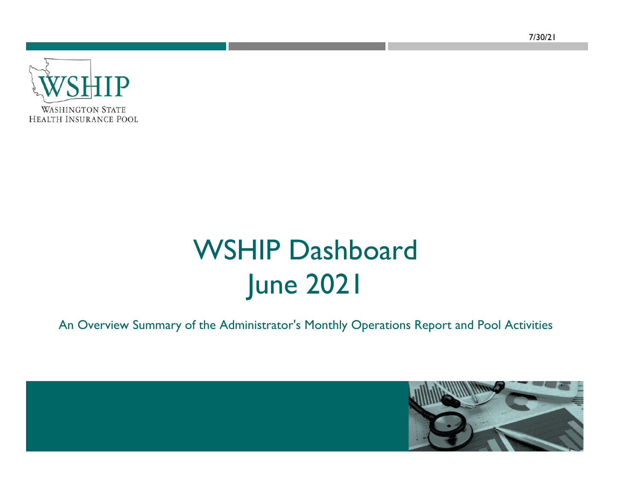**WASHINGTON STATE HEALTH INSURANCE POOL** 

# WSHIP Dashboard June 2021

An Overview Summary of the Administrator's Monthly Operations Report and Pool Activities

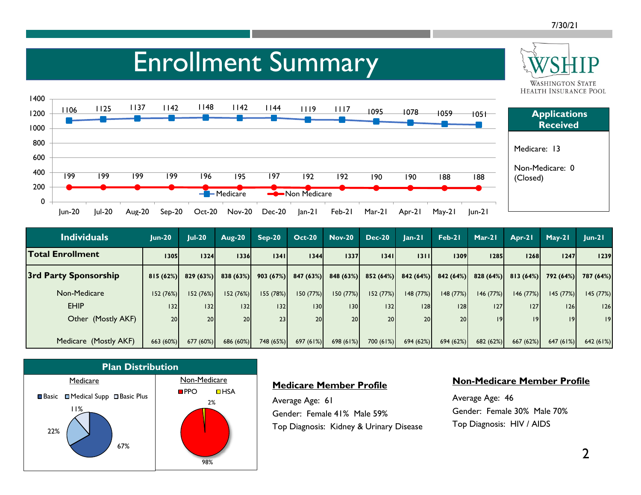**WASHINGTON STATE** 

## Enrollment Summary



| <b>Individuals</b>      | $Jun-20$        | $Jul-20$  | <b>Aug-20</b>   | $Sep-20$        | <b>Oct-20</b> | <b>Nov-20</b>    | <b>Dec-20</b> | $Jan-21$             | Feb-21          | Mar-21   | Apr-21   | $May-21$  | $ un-2 $  |
|-------------------------|-----------------|-----------|-----------------|-----------------|---------------|------------------|---------------|----------------------|-----------------|----------|----------|-----------|-----------|
| <b>Total Enrollment</b> | 1305            | 1324      | 1336            | 13411           | 1344          | 1337             | 1341          | 1311                 | 1309            | 1285     | 1268     | 1247      | 1239      |
| 3rd Party Sponsorship   | 815(62%)        | 829(63%)  | 838(63%)        | 903(67%)        | 847(63%)      | 848 (63%)        |               | $852(64%)$ 842 (64%) | 842(64%)        | 828(64%) | 813(64%) | 792(64%)  | 787 (64%) |
| Non-Medicare            | 152(76%)        | 152 (76%) | 152 (76%)       | 155(78%)        | 150(77%)      | 150(77%)         | 152(77%)      | 148 (77%)            | 148(77%)        | 146(77%) | 146(77%) | 145(77%)  | 145 (77%) |
| <b>EHIP</b>             | 132             | 132       | 32              | 32              | 130           | 130 <sup>1</sup> | 132           | 28                   | 28              | 127      | 127      | 126       | 126       |
| Other (Mostly AKF)      | 20 <sup>1</sup> | 20        | 20 <sub>1</sub> | 23 <sub>1</sub> | 20            | 20 <sub>l</sub>  | 20            | <b>20</b>            | 20 <sup>1</sup> | 9        | 19       | 9         | 9         |
| Medicare (Mostly AKF)   | 663 (60%)       | 677 (60%) | 686 (60%)       | 748 (65%)       | 697(61%)      | 698(61%)         | 700(61%)      | 694 (62%)            | 694(62%)        | 682(62%) | 667(62%) | 647 (61%) | 642 (61%) |



#### **Medicare Member Profile**

Average Age: 61 Gender: Female 41% Male 59% Top Diagnosis: Kidney & Urinary Disease

#### **Non-Medicare Member Profile**

Average Age: 46 Gender: Female 30% Male 70% Top Diagnosis: HIV / AIDS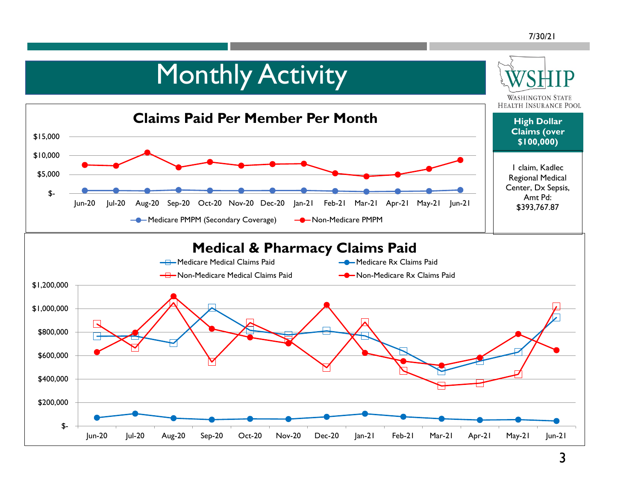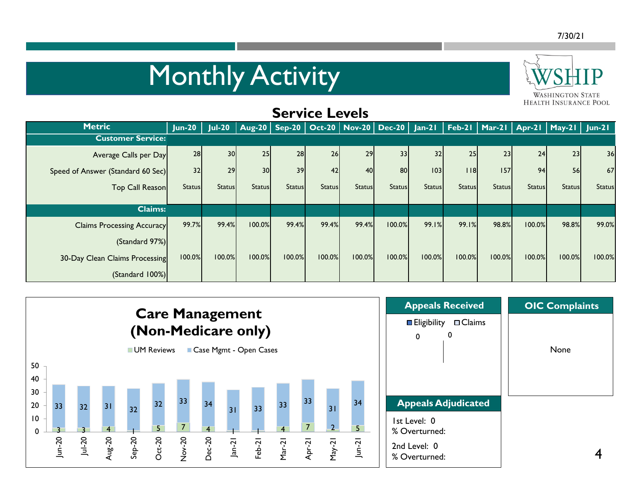## **Monthly Activity**



### **Service Levels**

| <b>Metric</b>                     | $J$ un-20     | $Jul-20$      | Aug-20   Sep-20   Oct-20   Nov-20   Dec-20   Jan-21   Feb-21   Mar-21   Apr-21   May-21   Jun-21 |               |               |               |                 |               |               |               |               |               |               |
|-----------------------------------|---------------|---------------|--------------------------------------------------------------------------------------------------|---------------|---------------|---------------|-----------------|---------------|---------------|---------------|---------------|---------------|---------------|
| <b>Customer Service:</b>          |               |               |                                                                                                  |               |               |               |                 |               |               |               |               |               |               |
| Average Calls per Day             | 28            | 30            | 25                                                                                               | 28            | 26            | 29            | 33 <sup>1</sup> | 32            | 25            | 23            | 24            | 23            | 36            |
| Speed of Answer (Standard 60 Sec) | 32            | 29            | 30                                                                                               | 39            | 42            | 40            | 80              | 03            | $ $ $ $ 8     | 157           | 94            | 56            | 67            |
| Top Call Reason                   | <b>Status</b> | <b>Status</b> | <b>Status</b>                                                                                    | <b>Status</b> | <b>Status</b> | <b>Status</b> | <b>Status</b>   | <b>Status</b> | <b>Status</b> | <b>Status</b> | <b>Status</b> | <b>Status</b> | <b>Status</b> |
|                                   |               |               |                                                                                                  |               |               |               |                 |               |               |               |               |               |               |
| <b>Claims:</b>                    |               |               |                                                                                                  |               |               |               |                 |               |               |               |               |               |               |
| <b>Claims Processing Accuracy</b> | 99.7%         | 99.4%         | 100.0%                                                                                           | 99.4%         | 99.4%         | 99.4%         | 100.0%          | 99.1%         | 99.1%         | 98.8%         | 100.0%        | 98.8%         | 99.0%         |
| (Standard 97%)                    |               |               |                                                                                                  |               |               |               |                 |               |               |               |               |               |               |
| 30-Day Clean Claims Processing    | 100.0%        | 100.0%        | 100.0%                                                                                           | 100.0%        | 100.0%        | 100.0%        | 100.0%          | 100.0%        | 100.0%        | 100.0%        | 100.0%        | 100.0%        | 100.0%        |
| (Standard 100%)                   |               |               |                                                                                                  |               |               |               |                 |               |               |               |               |               |               |